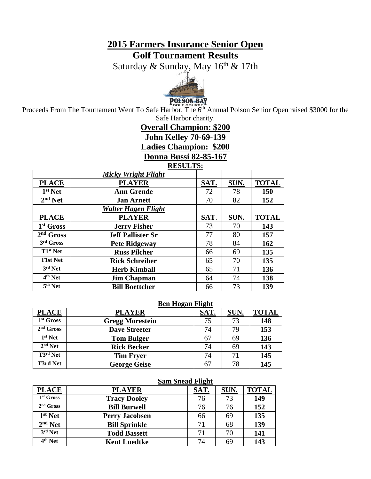### **2015 Farmers Insurance Senior Open Golf Tournament Results**

Saturday & Sunday, May 16<sup>th</sup> & 17th



Proceeds From The Tournament Went To Safe Harbor. The 6<sup>th</sup> Annual Polson Senior Open raised \$3000 for the Safe Harbor charity.

# **Overall Champion: \$200**

**John Kelley 70-69-139**

**Ladies Champion: \$200**

**Donna Bussi 82-85-167**

#### **RESULTS:**

|                                | <b>Micky Wright Flight</b> |      |      |              |
|--------------------------------|----------------------------|------|------|--------------|
| <b>PLACE</b>                   | <b>PLAYER</b>              | SAT. | SUN. | <b>TOTAL</b> |
| $1st$ Net                      | <b>Ann Grende</b>          | 72   | 78   | 150          |
| $2nd$ Net                      | <b>Jan Arnett</b>          | 70   | 82   | 152          |
|                                | <b>Walter Hagen Flight</b> |      |      |              |
| <b>PLACE</b>                   | <b>PLAYER</b>              | SAT. | SUN. | <b>TOTAL</b> |
| 1 <sup>st</sup> Gross          | <b>Jerry Fisher</b>        | 73   | 70   | 143          |
| $2nd$ Gross                    | <b>Jeff Pallister Sr</b>   | 77   | 80   | 157          |
| $3rd$ Gross                    | <b>Pete Ridgeway</b>       | 78   | 84   | 162          |
| $T1st$ Net                     | <b>Russ Pilcher</b>        | 66   | 69   | 135          |
| <b>T1st Net</b>                | <b>Rick Schreiber</b>      | 65   | 70   | 135          |
| 3rd Net                        | <b>Herb Kimball</b>        | 65   | 71   | 136          |
| $\overline{4}^{\text{th}}$ Net | <b>Jim Chapman</b>         | 64   | 74   | 138          |
| $\overline{5}^{\text{th}}$ Net | <b>Bill Boettcher</b>      | 66   | 73   | 139          |

#### **Ben Hogan Flight**

|                       |                        | $\sim$ |      |              |
|-----------------------|------------------------|--------|------|--------------|
| <b>PLACE</b>          | <b>PLAYER</b>          | SAT.   | SUN. | <b>TOTAL</b> |
| 1 <sup>st</sup> Gross | <b>Gregg Morestein</b> | 75     | 73   | 148          |
| $2nd$ Gross           | <b>Dave Streeter</b>   | 74     | 79   | 153          |
| $1st$ Net             | <b>Tom Bulger</b>      | 67     | 69   | 136          |
| $2nd$ Net             | <b>Rick Becker</b>     | 74     | 69   | 143          |
| T3rd Net              | <b>Tim Fryer</b>       | 74     | 71   | 145          |
| <b>T3rd Net</b>       | <b>George Geise</b>    | 67     | 78   | 145          |

#### **Sam Snead Flight**

| <b>PLACE</b>        | <b>PLAYER</b>         | SAT. | SUN. | <b>TOTAL</b> |
|---------------------|-----------------------|------|------|--------------|
| $1st$ Gross         | <b>Tracy Dooley</b>   | 76   | 73   | 149          |
| $2nd$ Gross         | <b>Bill Burwell</b>   | 76   | 76   | 152          |
| 1 <sup>st</sup> Net | <b>Perry Jacobsen</b> | 66   | 69   | 135          |
| $2nd$ Net           | <b>Bill Sprinkle</b>  | 71   | 68   | 139          |
| 3rd Net             | <b>Todd Bassett</b>   | 71   | 70   | 141          |
| 4 <sup>th</sup> Net | <b>Kent Luedtke</b>   | 74   | 69   | 143          |